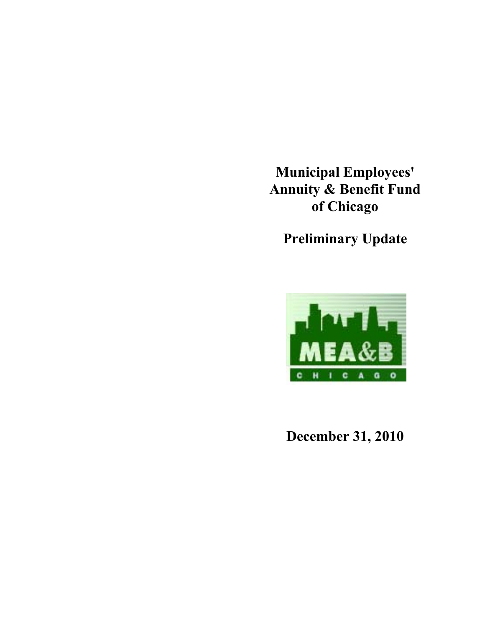**Municipal Employees' Annuity & Benefit Fund of Chicago**

**Preliminary Update**



**December 31, 2010**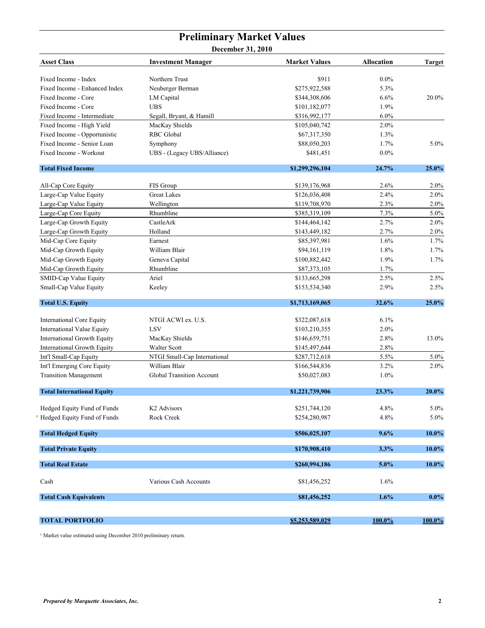## **Preliminary Market Values**

**December 31, 2010**

| <b>Asset Class</b>                 | <b>Investment Manager</b>        | <b>Market Values</b> | Allocation | <b>Target</b> |
|------------------------------------|----------------------------------|----------------------|------------|---------------|
| Fixed Income - Index               | Northern Trust                   | \$911                | $0.0\%$    |               |
| Fixed Income - Enhanced Index      | Neuberger Berman                 | \$275,922,588        | 5.3%       |               |
| Fixed Income - Core                | LM Capital                       | \$344,308,606        | 6.6%       | 20.0%         |
| Fixed Income - Core                | <b>UBS</b>                       | \$101,182,077        | 1.9%       |               |
| Fixed Income - Intermediate        | Segall, Bryant, & Hamill         | \$316,992,177        | 6.0%       |               |
| Fixed Income - High Yield          | MacKay Shields                   | \$105,040,742        | $2.0\%$    |               |
| Fixed Income - Opportunistic       | <b>RBC</b> Global                | \$67,317,350         | 1.3%       |               |
| Fixed Income - Senior Loan         | Symphony                         | \$88,050,203         | 1.7%       | 5.0%          |
| Fixed Income - Workout             | UBS - (Legacy UBS/Alliance)      | \$481,451            | $0.0\%$    |               |
| <b>Total Fixed Income</b>          |                                  | \$1,299,296,104      | 24.7%      | 25.0%         |
| All-Cap Core Equity                | FIS Group                        | \$139,176,968        | 2.6%       | 2.0%          |
| Large-Cap Value Equity             | <b>Great Lakes</b>               | \$126,036,408        | 2.4%       | 2.0%          |
| Large-Cap Value Equity             | Wellington                       | \$119,708,970        | 2.3%       | 2.0%          |
| Large-Cap Core Equity              | Rhumbline                        | \$385,319,109        | 7.3%       | 5.0%          |
| Large-Cap Growth Equity            | CastleArk                        | \$144,464,142        | 2.7%       | 2.0%          |
| Large-Cap Growth Equity            | Holland                          | \$143,449,182        | 2.7%       | 2.0%          |
| Mid-Cap Core Equity                | Earnest                          | \$85,397,981         | 1.6%       | 1.7%          |
| Mid-Cap Growth Equity              | William Blair                    | \$94,161,119         | 1.8%       | 1.7%          |
| Mid-Cap Growth Equity              | Geneva Capital                   | \$100,882,442        | 1.9%       | 1.7%          |
| Mid-Cap Growth Equity              | Rhumbline                        | \$87,373,105         | 1.7%       |               |
| SMID-Cap Value Equity              | Ariel                            | \$133,665,298        | 2.5%       | 2.5%          |
| Small-Cap Value Equity             | Keeley                           | \$153,534,340        | 2.9%       | 2.5%          |
| <b>Total U.S. Equity</b>           |                                  | \$1,713,169,065      | 32.6%      | 25.0%         |
| <b>International Core Equity</b>   | NTGI ACWI ex. U.S.               | \$322,087,618        | 6.1%       |               |
| International Value Equity         | <b>LSV</b>                       | \$103,210,355        | 2.0%       |               |
| International Growth Equity        | MacKay Shields                   | \$146,659,751        | 2.8%       | 13.0%         |
| <b>International Growth Equity</b> | Walter Scott                     | \$145,497,644        | 2.8%       |               |
| Int'l Small-Cap Equity             | NTGI Small-Cap International     | \$287,712,618        | 5.5%       | $5.0\%$       |
| Int'l Emerging Core Equity         | William Blair                    | \$166,544,836        | 3.2%       | 2.0%          |
| <b>Transition Management</b>       | <b>Global Transition Account</b> | \$50,027,083         | 1.0%       |               |
| <b>Total International Equity</b>  |                                  | \$1,221,739,906      | 23.3%      | 20.0%         |
| Hedged Equity Fund of Funds        | K <sub>2</sub> Advisors          | \$251,744,120        | 4.8%       | 5.0%          |
| Hedged Equity Fund of Funds        | Rock Creek                       | \$254,280,987        | 4.8%       | $5.0\%$       |
| <b>Total Hedged Equity</b>         |                                  | \$506,025,107        | 9.6%       | 10.0%         |
| <b>Total Private Equity</b>        |                                  | \$170,908,410        | 3.3%       | $10.0\%$      |
| <b>Total Real Estate</b>           |                                  | \$260,994,186        | 5.0%       | $10.0\%$      |
| Cash                               | Various Cash Accounts            | \$81,456,252         | 1.6%       |               |
| <b>Total Cash Equivalents</b>      |                                  | \$81,456,252         | 1.6%       | $0.0\%$       |
| <b>TOTAL PORTFOLIO</b>             |                                  | \$5,253,589,029      | 100.0%     | $100.0\%$     |

<sup>1</sup> Market value estimated using December 2010 preliminary return.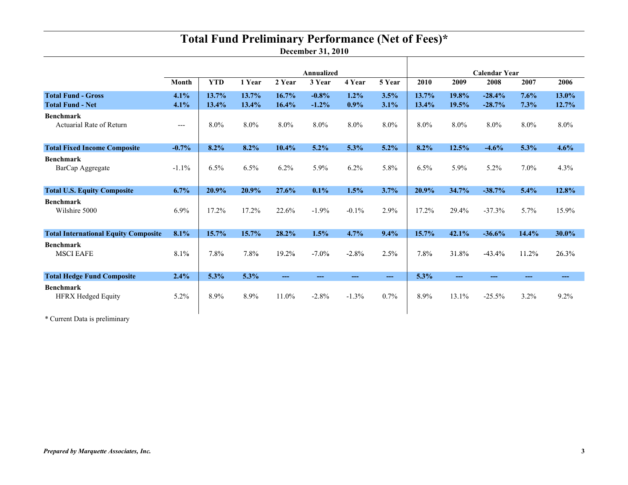# **Total Fund Preliminary Performance (Net of Fees)\***

**December 31, 2010**

Т

|                                                      |              | Annualized     |                |                   |                    |                 | <b>Calendar Year</b> |                |                |                      |              |                |
|------------------------------------------------------|--------------|----------------|----------------|-------------------|--------------------|-----------------|----------------------|----------------|----------------|----------------------|--------------|----------------|
|                                                      | <b>Month</b> | <b>YTD</b>     | 1 Year         | 2 Year            | 3 Year             | 4 Year          | 5 Year               | 2010           | 2009           | 2008                 | 2007         | 2006           |
| <b>Total Fund - Gross</b><br><b>Total Fund - Net</b> | 4.1%<br>4.1% | 13.7%<br>13.4% | 13.7%<br>13.4% | 16.7%<br>16.4%    | $-0.8%$<br>$-1.2%$ | $1.2\%$<br>0.9% | 3.5%<br>3.1%         | 13.7%<br>13.4% | 19.8%<br>19.5% | $-28.4%$<br>$-28.7%$ | 7.6%<br>7.3% | 13.0%<br>12.7% |
| <b>Benchmark</b><br>Actuarial Rate of Return         | $---$        | 8.0%           | 8.0%           | 8.0%              | $8.0\%$            | 8.0%            | 8.0%                 | 8.0%           | 8.0%           | 8.0%                 | $8.0\%$      | 8.0%           |
| <b>Total Fixed Income Composite</b>                  | $-0.7%$      | 8.2%           | 8.2%           | 10.4%             | $5.2\%$            | 5.3%            | $5.2\%$              | $8.2\%$        | 12.5%          | $-4.6%$              | 5.3%         | 4.6%           |
| <b>Benchmark</b><br>BarCap Aggregate                 | $-1.1\%$     | 6.5%           | 6.5%           | 6.2%              | 5.9%               | 6.2%            | 5.8%                 | 6.5%           | 5.9%           | 5.2%                 | 7.0%         | 4.3%           |
| <b>Total U.S. Equity Composite</b>                   | 6.7%         | 20.9%          | 20.9%          | 27.6%             | 0.1%               | 1.5%            | 3.7%                 | 20.9%          | 34.7%          | $-38.7%$             | 5.4%         | 12.8%          |
| <b>Benchmark</b><br>Wilshire 5000                    | $6.9\%$      | 17.2%          | 17.2%          | 22.6%             | $-1.9%$            | $-0.1\%$        | 2.9%                 | 17.2%          | 29.4%          | $-37.3%$             | 5.7%         | 15.9%          |
| <b>Total International Equity Composite</b>          | 8.1%         | 15.7%          | 15.7%          | 28.2%             | 1.5%               | 4.7%            | 9.4%                 | 15.7%          | 42.1%          | $-36.6%$             | 14.4%        | 30.0%          |
| <b>Benchmark</b><br><b>MSCI EAFE</b>                 | 8.1%         | 7.8%           | 7.8%           | 19.2%             | $-7.0\%$           | $-2.8%$         | 2.5%                 | 7.8%           | 31.8%          | $-43.4%$             | 11.2%        | 26.3%          |
| <b>Total Hedge Fund Composite</b>                    | 2.4%         | 5.3%           | 5.3%           | $\qquad \qquad -$ | ---                | ---             | ---                  | 5.3%           | $---$          | ---                  | ---          | ---            |
| <b>Benchmark</b><br><b>HFRX Hedged Equity</b>        | 5.2%         | 8.9%           | 8.9%           | 11.0%             | $-2.8%$            | $-1.3%$         | 0.7%                 | 8.9%           | 13.1%          | $-25.5%$             | 3.2%         | 9.2%           |

\* Current Data is preliminary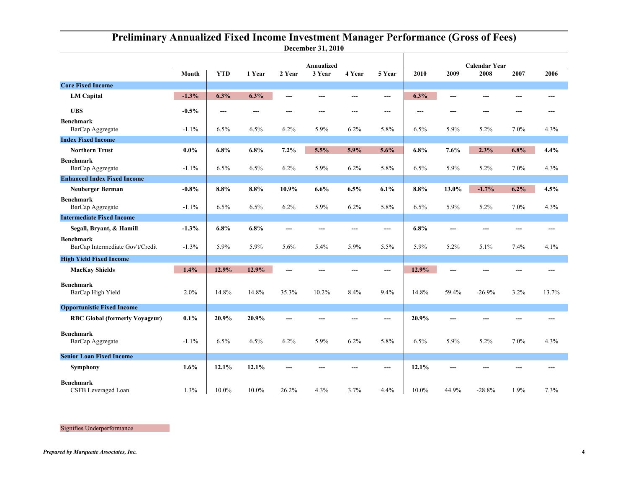|                                                      |         | <b>Annualized</b> |        |        |         |        | <b>Calendar Year</b> |       |       |          |      |       |
|------------------------------------------------------|---------|-------------------|--------|--------|---------|--------|----------------------|-------|-------|----------|------|-------|
|                                                      | Month   | <b>YTD</b>        | 1 Year | 2 Year | 3 Year  | 4 Year | 5 Year               | 2010  | 2009  | 2008     | 2007 | 2006  |
| <b>Core Fixed Income</b>                             |         |                   |        |        |         |        |                      |       |       |          |      |       |
| <b>LM Capital</b>                                    | $-1.3%$ | 6.3%              | 6.3%   | ---    | ---     | ---    | ---                  | 6.3%  | ---   |          | ---  |       |
| <b>UBS</b>                                           | $-0.5%$ | ---               | $---$  | $---$  | $- - -$ | $---$  | $---$                | ---   | ---   |          | ---  |       |
| <b>Benchmark</b><br>BarCap Aggregate                 | $-1.1%$ | 6.5%              | 6.5%   | 6.2%   | 5.9%    | 6.2%   | 5.8%                 | 6.5%  | 5.9%  | 5.2%     | 7.0% | 4.3%  |
| <b>Index Fixed Income</b>                            |         |                   |        |        |         |        |                      |       |       |          |      |       |
| <b>Northern Trust</b>                                | $0.0\%$ | 6.8%              | 6.8%   | 7.2%   | 5.5%    | 5.9%   | 5.6%                 | 6.8%  | 7.6%  | 2.3%     | 6.8% | 4.4%  |
| <b>Benchmark</b><br>BarCap Aggregate                 | $-1.1%$ | 6.5%              | 6.5%   | 6.2%   | 5.9%    | 6.2%   | 5.8%                 | 6.5%  | 5.9%  | 5.2%     | 7.0% | 4.3%  |
| <b>Enhanced Index Fixed Income</b>                   |         |                   |        |        |         |        |                      |       |       |          |      |       |
| <b>Neuberger Berman</b>                              | $-0.8%$ | 8.8%              | 8.8%   | 10.9%  | 6.6%    | 6.5%   | 6.1%                 | 8.8%  | 13.0% | $-1.7%$  | 6.2% | 4.5%  |
| <b>Benchmark</b><br>BarCap Aggregate                 | $-1.1%$ | 6.5%              | 6.5%   | 6.2%   | 5.9%    | 6.2%   | 5.8%                 | 6.5%  | 5.9%  | 5.2%     | 7.0% | 4.3%  |
| <b>Intermediate Fixed Income</b>                     |         |                   |        |        |         |        |                      |       |       |          |      |       |
| Segall, Bryant, & Hamill                             | $-1.3%$ | 6.8%              | 6.8%   | ---    | ---     | ---    | ---                  | 6.8%  | ---   |          | ---  | ---   |
| <b>Benchmark</b><br>BarCap Intermediate Gov't/Credit | $-1.3%$ | 5.9%              | 5.9%   | 5.6%   | 5.4%    | 5.9%   | 5.5%                 | 5.9%  | 5.2%  | 5.1%     | 7.4% | 4.1%  |
| <b>High Yield Fixed Income</b>                       |         |                   |        |        |         |        |                      |       |       |          |      |       |
| <b>MacKay Shields</b>                                | 1.4%    | 12.9%             | 12.9%  | ---    |         | ---    | ---                  | 12.9% | ---   |          | ---  | ---   |
| Benchmark<br>BarCap High Yield                       | 2.0%    | 14.8%             | 14.8%  | 35.3%  | 10.2%   | 8.4%   | 9.4%                 | 14.8% | 59.4% | $-26.9%$ | 3.2% | 13.7% |
| <b>Opportunistic Fixed Income</b>                    |         |                   |        |        |         |        |                      |       |       |          |      |       |
| <b>RBC Global (formerly Voyageur)</b>                | 0.1%    | 20.9%             | 20.9%  | ---    |         |        | ---                  | 20.9% | ---   |          | ---  |       |
| <b>Benchmark</b><br>BarCap Aggregate                 | $-1.1%$ | 6.5%              | 6.5%   | 6.2%   | 5.9%    | 6.2%   | 5.8%                 | 6.5%  | 5.9%  | $5.2\%$  | 7.0% | 4.3%  |
| <b>Senior Loan Fixed Income</b>                      |         |                   |        |        |         |        |                      |       |       |          |      |       |
| Symphony                                             | 1.6%    | 12.1%             | 12.1%  |        |         |        | ---                  | 12.1% |       |          |      |       |
| <b>Benchmark</b><br>CSFB Leveraged Loan              | 1.3%    | 10.0%             | 10.0%  | 26.2%  | 4.3%    | 3.7%   | 4.4%                 | 10.0% | 44.9% | $-28.8%$ | 1.9% | 7.3%  |

### **December 31, 2010 Preliminary Annualized Fixed Income Investment Manager Performance (Gross of Fees)**

Signifies Underperformance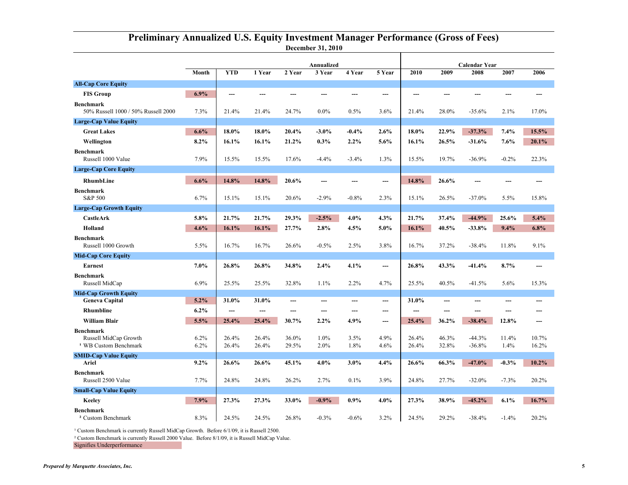#### **December 31, 2010 Preliminary Annualized U.S. Equity Investment Manager Performance (Gross of Fees)**

|                                                                               | Month           | <b>YTD</b>     | 1 Year         | 2 Year         | Annualized<br>3 Year | 4 Year       | 5 Year       | 2010           | 2009           | <b>Calendar Year</b><br>2008 | 2007          | 2006           |
|-------------------------------------------------------------------------------|-----------------|----------------|----------------|----------------|----------------------|--------------|--------------|----------------|----------------|------------------------------|---------------|----------------|
| <b>All-Cap Core Equity</b>                                                    |                 |                |                |                |                      |              |              |                |                |                              |               |                |
| <b>FIS Group</b>                                                              | $6.9\%$         | ---            |                |                |                      |              | ---          | $---$          | ---            |                              | ---           |                |
| <b>Benchmark</b><br>50% Russell 1000 / 50% Russell 2000                       | 7.3%            | 21.4%          | 21.4%          | 24.7%          | $0.0\%$              | 0.5%         | 3.6%         | 21.4%          | 28.0%          | $-35.6%$                     | 2.1%          | 17.0%          |
| <b>Large-Cap Value Equity</b>                                                 |                 |                |                |                |                      |              |              |                |                |                              |               |                |
| <b>Great Lakes</b>                                                            | 6.6%            | 18.0%          | 18.0%          | 20.4%          | $-3.0\%$             | $-0.4\%$     | 2.6%         | 18.0%          | 22.9%          | $-37.3%$                     | 7.4%          | 15.5%          |
| Wellington                                                                    | 8.2%            | 16.1%          | 16.1%          | 21.2%          | $0.3\%$              | 2.2%         | 5.6%         | 16.1%          | 26.5%          | $-31.6%$                     | 7.6%          | 20.1%          |
| <b>Benchmark</b><br>Russell 1000 Value                                        | 7.9%            | 15.5%          | 15.5%          | 17.6%          | $-4.4%$              | $-3.4%$      | 1.3%         | 15.5%          | 19.7%          | $-36.9%$                     | $-0.2%$       | 22.3%          |
| <b>Large-Cap Core Equity</b>                                                  |                 |                |                |                |                      |              |              |                |                |                              |               |                |
| RhumbLine                                                                     | 6.6%            | 14.8%          | 14.8%          | 20.6%          |                      |              | ---          | 14.8%          | 26.6%          |                              |               |                |
| <b>Benchmark</b><br>S&P 500                                                   | 6.7%            | 15.1%          | 15.1%          | 20.6%          | $-2.9%$              | $-0.8%$      | 2.3%         | 15.1%          | 26.5%          | $-37.0%$                     | 5.5%          | 15.8%          |
| <b>Large-Cap Growth Equity</b>                                                |                 |                |                |                |                      |              |              |                |                |                              |               |                |
| <b>CastleArk</b>                                                              | 5.8%            | 21.7%          | 21.7%          | 29.3%          | $-2.5%$              | $4.0\%$      | 4.3%         | 21.7%          | 37.4%          | $-44.9%$                     | 25.6%         | 5.4%           |
| Holland                                                                       | 4.6%            | 16.1%          | 16.1%          | 27.7%          | 2.8%                 | 4.5%         | 5.0%         | 16.1%          | 40.5%          | $-33.8%$                     | 9.4%          | 6.8%           |
| <b>Benchmark</b><br>Russell 1000 Growth                                       | 5.5%            | 16.7%          | 16.7%          | 26.6%          | $-0.5\%$             | 2.5%         | 3.8%         | 16.7%          | 37.2%          | $-38.4%$                     | 11.8%         | $9.1\%$        |
| <b>Mid-Cap Core Equity</b>                                                    |                 |                |                |                |                      |              |              |                |                |                              |               |                |
| <b>Earnest</b>                                                                | 7.0%            | 26.8%          | 26.8%          | 34.8%          | 2.4%                 | 4.1%         | ---          | 26.8%          | 43.3%          | $-41.4%$                     | 8.7%          | ---            |
| <b>Benchmark</b><br>Russell MidCap                                            | 6.9%            | 25.5%          | 25.5%          | 32.8%          | 1.1%                 | 2.2%         | 4.7%         | 25.5%          | 40.5%          | $-41.5%$                     | 5.6%          | 15.3%          |
| <b>Mid-Cap Growth Equity</b>                                                  |                 |                |                |                |                      |              |              |                |                |                              |               |                |
| <b>Geneva Capital</b>                                                         | 5.2%            | 31.0%          | 31.0%          | ---            | ---                  | ---          | $---$        | 31.0%          | ---            | ---                          | ---           |                |
| Rhumbline                                                                     | $6.2\%$         | ---            | ---            | ---            | ---                  | $---$        | ---          | $\overline{a}$ | ---            | ---                          | ---           |                |
| <b>William Blair</b>                                                          | 5.5%            | 25.4%          | 25.4%          | 30.7%          | $2.2\%$              | 4.9%         | ---          | 25.4%          | 36.2%          | $-38.4%$                     | 12.8%         |                |
| <b>Benchmark</b><br>Russell MidCap Growth<br><sup>1</sup> WB Custom Benchmark | 6.2%<br>$6.2\%$ | 26.4%<br>26.4% | 26.4%<br>26.4% | 36.0%<br>29.5% | $1.0\%$<br>2.0%      | 3.5%<br>1.8% | 4.9%<br>4.6% | 26.4%<br>26.4% | 46.3%<br>32.8% | $-44.3%$<br>$-36.8%$         | 11.4%<br>1.4% | 10.7%<br>16.2% |
| <b>SMID-Cap Value Equity</b>                                                  |                 |                |                |                |                      |              |              |                |                |                              |               |                |
| Ariel                                                                         | $9.2\%$         | 26.6%          | 26.6%          | 45.1%          | $4.0\%$              | 3.0%         | 4.4%         | 26.6%          | 66.3%          | $-47.0%$                     | $-0.3%$       | 10.2%          |
| <b>Benchmark</b><br>Russell 2500 Value                                        | 7.7%            | 24.8%          | 24.8%          | 26.2%          | 2.7%                 | 0.1%         | 3.9%         | 24.8%          | 27.7%          | $-32.0%$                     | $-7.3%$       | 20.2%          |
| <b>Small-Cap Value Equity</b>                                                 |                 |                |                |                |                      |              |              |                |                |                              |               |                |
| <b>Keeley</b>                                                                 | 7.9%            | 27.3%          | 27.3%          | 33.0%          | $-0.9%$              | $0.9\%$      | 4.0%         | 27.3%          | 38.9%          | $-45.2%$                     | 6.1%          | 16.7%          |
| <b>Benchmark</b><br><sup>2</sup> Custom Benchmark                             | 8.3%            | 24.5%          | 24.5%          | 26.8%          | $-0.3%$              | $-0.6%$      | 3.2%         | 24.5%          | 29.2%          | $-38.4%$                     | $-1.4%$       | 20.2%          |

<sup>1</sup> Custom Benchmark is currently Russell MidCap Growth. Before 6/1/09, it is Russell 2500.

² Custom Benchmark is currently Russell 2000 Value. Before 8/1/09, it is Russell MidCap Value.

Signifies Underperformance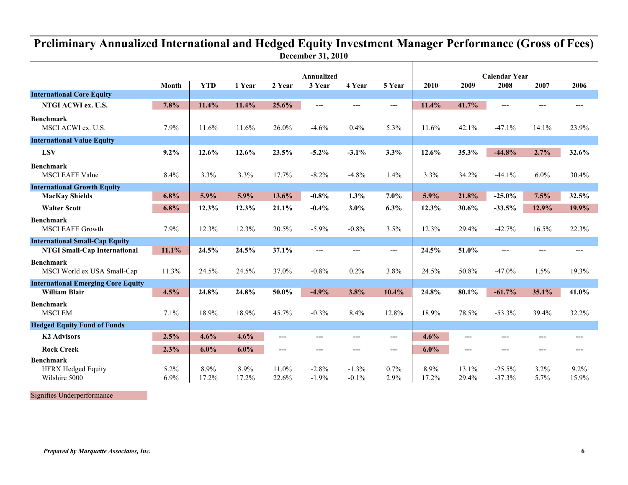## **December 31, 2010 Preliminary Annualized International and Hedged Equity Investment Manager Performance (Gross of Fees)**

Τ

|                                                                |              | <b>Annualized</b> |               |                |                    |                    | <b>Calendar Year</b> |               |                |                      |                 |               |
|----------------------------------------------------------------|--------------|-------------------|---------------|----------------|--------------------|--------------------|----------------------|---------------|----------------|----------------------|-----------------|---------------|
|                                                                | Month        | <b>YTD</b>        | 1 Year        | 2 Year         | 3 Year             | 4 Year             | 5 Year               | 2010          | 2009           | 2008                 | 2007            | 2006          |
| <b>International Core Equity</b>                               |              |                   |               |                |                    |                    |                      |               |                |                      |                 |               |
| NTGI ACWI ex. U.S.                                             | 7.8%         | 11.4%             | 11.4%         | 25.6%          | ---                |                    | ---                  | 11.4%         | 41.7%          | ---                  |                 |               |
| <b>Benchmark</b><br>MSCI ACWI ex. U.S.                         | 7.9%         | 11.6%             | 11.6%         | 26.0%          | $-4.6%$            | 0.4%               | 5.3%                 | 11.6%         | 42.1%          | $-47.1%$             | 14.1%           | 23.9%         |
| <b>International Value Equity</b>                              |              |                   |               |                |                    |                    |                      |               |                |                      |                 |               |
| <b>LSV</b>                                                     | $9.2\%$      | 12.6%             | 12.6%         | 23.5%          | $-5.2\%$           | $-3.1%$            | 3.3%                 | 12.6%         | 35.3%          | $-44.8%$             | 2.7%            | 32.6%         |
| <b>Benchmark</b><br><b>MSCI EAFE Value</b>                     | 8.4%         | 3.3%              | 3.3%          | 17.7%          | $-8.2%$            | $-4.8%$            | 1.4%                 | 3.3%          | 34.2%          | $-44.1%$             | $6.0\%$         | 30.4%         |
| <b>International Growth Equity</b>                             |              |                   |               |                |                    |                    |                      |               |                |                      |                 |               |
| <b>MacKay Shields</b>                                          | 6.8%         | 5.9%              | 5.9%          | 13.6%          | $-0.8%$            | 1.3%               | 7.0%                 | 5.9%          | 21.8%          | $-25.0%$             | 7.5%            | 32.5%         |
| <b>Walter Scott</b>                                            | 6.8%         | 12.3%             | 12.3%         | 21.1%          | $-0.4%$            | 3.0%               | 6.3%                 | 12.3%         | 30.6%          | $-33.5%$             | 12.9%           | 19.9%         |
| <b>Benchmark</b><br><b>MSCI EAFE Growth</b>                    | 7.9%         | 12.3%             | 12.3%         | 20.5%          | $-5.9%$            | $-0.8%$            | 3.5%                 | 12.3%         | 29.4%          | $-42.7%$             | 16.5%           | 22.3%         |
| <b>International Small-Cap Equity</b>                          |              |                   |               |                |                    |                    |                      |               |                |                      |                 |               |
| <b>NTGI Small-Cap International</b>                            | 11.1%        | 24.5%             | 24.5%         | 37.1%          | ---                | $---$              | ---                  | 24.5%         | 51.0%          | ---                  | $---$           | $---$         |
| <b>Benchmark</b><br>MSCI World ex USA Small-Cap                | 11.3%        | 24.5%             | 24.5%         | 37.0%          | $-0.8%$            | 0.2%               | 3.8%                 | 24.5%         | 50.8%          | $-47.0%$             | 1.5%            | 19.3%         |
| <b>International Emerging Core Equity</b>                      |              |                   |               |                |                    |                    |                      |               |                |                      |                 |               |
| <b>William Blair</b>                                           | 4.5%         | 24.8%             | 24.8%         | 50.0%          | $-4.9%$            | 3.8%               | 10.4%                | 24.8%         | 80.1%          | $-61.7%$             | 35.1%           | 41.0%         |
| <b>Benchmark</b><br><b>MSCI EM</b>                             | 7.1%         | 18.9%             | 18.9%         | 45.7%          | $-0.3%$            | 8.4%               | 12.8%                | 18.9%         | 78.5%          | $-53.3%$             | 39.4%           | 32.2%         |
| <b>Hedged Equity Fund of Funds</b>                             |              |                   |               |                |                    |                    |                      |               |                |                      |                 |               |
| <b>K2 Advisors</b>                                             | 2.5%         | 4.6%              | 4.6%          | ---            |                    |                    | ---                  | 4.6%          | ---            |                      |                 |               |
| <b>Rock Creek</b>                                              | 2.3%         | $6.0\%$           | 6.0%          | $---$          | ---                | ---                | $---$                | 6.0%          | ---            | ---                  | ---             |               |
| <b>Benchmark</b><br><b>HFRX Hedged Equity</b><br>Wilshire 5000 | 5.2%<br>6.9% | 8.9%<br>17.2%     | 8.9%<br>17.2% | 11.0%<br>22.6% | $-2.8%$<br>$-1.9%$ | $-1.3%$<br>$-0.1%$ | 0.7%<br>2.9%         | 8.9%<br>17.2% | 13.1%<br>29.4% | $-25.5%$<br>$-37.3%$ | $3.2\%$<br>5.7% | 9.2%<br>15.9% |

Signifies Underperformance